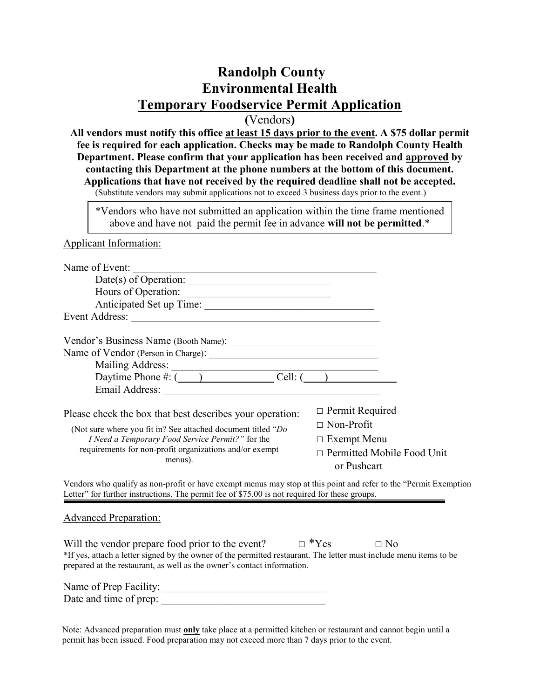# **Randolph County Environmental Health Temporary Foodservice Permit Application**

**(**Vendors**)** 

**All vendors must notify this office at least 15 days prior to the event. A \$75 dollar permit fee is required for each application. Checks may be made to Randolph County Health Department. Please confirm that your application has been received and approved by contacting this Department at the phone numbers at the bottom of this document. Applications that have not received by the required deadline shall not be accepted.**  (Substitute vendors may submit applications not to exceed 3 business days prior to the event.)

\*Vendors who have not submitted an application within the time frame mentioned above and have not paid the permit fee in advance **will not be permitted**.\*

Applicant Information:

| Name of Event:                                                                                                                                                                                                                                                                                                    |                                                  |  |
|-------------------------------------------------------------------------------------------------------------------------------------------------------------------------------------------------------------------------------------------------------------------------------------------------------------------|--------------------------------------------------|--|
| Date(s) of Operation: $\_\_$                                                                                                                                                                                                                                                                                      |                                                  |  |
| Hours of Operation:                                                                                                                                                                                                                                                                                               |                                                  |  |
| Anticipated Set up Time:                                                                                                                                                                                                                                                                                          |                                                  |  |
| Event Address:                                                                                                                                                                                                                                                                                                    |                                                  |  |
|                                                                                                                                                                                                                                                                                                                   |                                                  |  |
|                                                                                                                                                                                                                                                                                                                   |                                                  |  |
| Mailing Address: $\frac{1}{2}$ $\frac{1}{2}$ $\frac{1}{2}$ $\frac{1}{2}$ $\frac{1}{2}$ $\frac{1}{2}$ $\frac{1}{2}$ $\frac{1}{2}$ $\frac{1}{2}$ $\frac{1}{2}$ $\frac{1}{2}$ $\frac{1}{2}$ $\frac{1}{2}$ $\frac{1}{2}$ $\frac{1}{2}$ $\frac{1}{2}$ $\frac{1}{2}$ $\frac{1}{2}$ $\frac{1}{2}$ $\frac{1}{2}$ $\frac{$ |                                                  |  |
| Daytime Phone $\#: (\_\_\_\_\_\_$ Cell: $(\_\_\_\_\_\_\_$                                                                                                                                                                                                                                                         |                                                  |  |
| Email Address: <u>and a series of the series of the series of the series of the series of the series of the series of the series of the series of the series of the series of the series of the series of the series of the seri</u>                                                                              |                                                  |  |
| Please check the box that best describes your operation:                                                                                                                                                                                                                                                          | $\Box$ Permit Required                           |  |
| (Not sure where you fit in? See attached document titled "Do                                                                                                                                                                                                                                                      | $\Box$ Non-Profit                                |  |
| I Need a Temporary Food Service Permit?" for the                                                                                                                                                                                                                                                                  | $\Box$ Exempt Menu                               |  |
| requirements for non-profit organizations and/or exempt<br>menus).                                                                                                                                                                                                                                                | $\Box$ Permitted Mobile Food Unit<br>or Pushcart |  |
| Vendors who qualify as non-profit or have event menus may stop at this point and refer to the "Permit Evenption                                                                                                                                                                                                   |                                                  |  |

jualify as non-profit or have exempt menus may stop at this point and refer to the "Permit Exemption" Letter" for further instructions. The permit fee of \$75.00 is not required for these groups.

Advanced Preparation:

Will the vendor prepare food prior to the event?  $\Box$  \*Yes  $\Box$  No \*If yes, attach a letter signed by the owner of the permitted restaurant. The letter must include menu items to be prepared at the restaurant, as well as the owner's contact information.

Name of Prep Facility: Date and time of prep:

Note: Advanced preparation must **only** take place at a permitted kitchen or restaurant and cannot begin until a permit has been issued. Food preparation may not exceed more than 7 days prior to the event.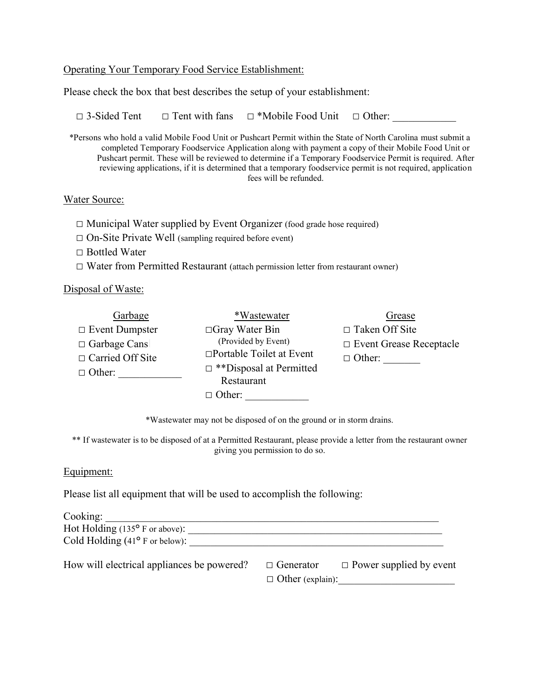#### Operating Your Temporary Food Service Establishment:

Please check the box that best describes the setup of your establishment:

 $\Box$  3-Sided Tent  $\Box$  Tent with fans  $\Box$  \*Mobile Food Unit  $\Box$  Other:

\*Persons who hold a valid Mobile Food Unit or Pushcart Permit within the State of North Carolina must submit a completed Temporary Foodservice Application along with payment a copy of their Mobile Food Unit or Pushcart permit. These will be reviewed to determine if a Temporary Foodservice Permit is required. After reviewing applications, if it is determined that a temporary foodservice permit is not required, application fees will be refunded.

#### Water Source:

 $\Box$  Municipal Water supplied by Event Organizer (food grade hose required)

□ On-Site Private Well (sampling required before event)

□ Bottled Water

 $\square$  Water from Permitted Restaurant (attach permission letter from restaurant owner)

Disposal of Waste:

| Garbage                 | *Wastewater                     | Grease                         |
|-------------------------|---------------------------------|--------------------------------|
| $\Box$ Event Dumpster   | $\Box$ Gray Water Bin           | $\Box$ Taken Off Site          |
| $\Box$ Garbage Cans     | (Provided by Event)             | $\Box$ Event Grease Receptacle |
| $\Box$ Carried Off Site | $\Box$ Portable Toilet at Event | $\Box$ Other:                  |
| $\Box$ Other:           | $\Box$ **Disposal at Permitted  |                                |
|                         | Restaurant                      |                                |
|                         | $\Box$ Other:                   |                                |

\*Wastewater may not be disposed of on the ground or in storm drains.

\*\* If wastewater is to be disposed of at a Permitted Restaurant, please provide a letter from the restaurant owner giving you permission to do so.

### Equipment:

Please list all equipment that will be used to accomplish the following:

| Cooking:                                         |                         |                                |
|--------------------------------------------------|-------------------------|--------------------------------|
| Hot Holding $(135^{\circ} \text{ F or above})$ : |                         |                                |
| Cold Holding $(41^{\circ}$ F or below):          |                         |                                |
| How will electrical appliances be powered?       | $\Box$ Generator        | $\Box$ Power supplied by event |
|                                                  | $\Box$ Other (explain): |                                |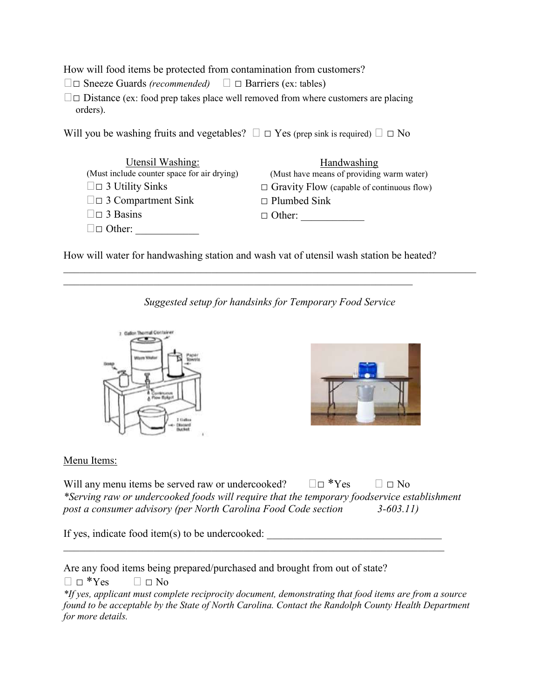How will food items be protected from contamination from customers?

□ Sneeze Guards *(recommended)*  □ Barriers (ex: tables)

 $\square$  $\square$  Distance (ex: food prep takes place well removed from where customers are placing orders).

Will you be washing fruits and vegetables?  $\Box$   $\Box$  Yes (prep sink is required)  $\Box$   $\Box$  No

| Utensil Washing:                            | Handwashing                                      |
|---------------------------------------------|--------------------------------------------------|
| (Must include counter space for air drying) | (Must have means of providing warm water)        |
| $\square$ 3 Utility Sinks                   | $\Box$ Gravity Flow (capable of continuous flow) |
| $\square$ 3 Compartment Sink                | $\Box$ Plumbed Sink                              |
| $\square$ 3 Basins                          | $\Box$ Other:                                    |
| $\square$ $\square$ Other:                  |                                                  |

How will water for handwashing station and wash vat of utensil wash station be heated?

 $\mathcal{L}_\mathcal{L} = \mathcal{L}_\mathcal{L} = \mathcal{L}_\mathcal{L} = \mathcal{L}_\mathcal{L} = \mathcal{L}_\mathcal{L} = \mathcal{L}_\mathcal{L} = \mathcal{L}_\mathcal{L} = \mathcal{L}_\mathcal{L} = \mathcal{L}_\mathcal{L} = \mathcal{L}_\mathcal{L} = \mathcal{L}_\mathcal{L} = \mathcal{L}_\mathcal{L} = \mathcal{L}_\mathcal{L} = \mathcal{L}_\mathcal{L} = \mathcal{L}_\mathcal{L} = \mathcal{L}_\mathcal{L} = \mathcal{L}_\mathcal{L}$ 

*Suggested setup for handsinks for Temporary Food Service*

 $\mathcal{L}_\mathcal{L} = \{ \mathcal{L}_\mathcal{L} = \{ \mathcal{L}_\mathcal{L} = \{ \mathcal{L}_\mathcal{L} = \{ \mathcal{L}_\mathcal{L} = \{ \mathcal{L}_\mathcal{L} = \{ \mathcal{L}_\mathcal{L} = \{ \mathcal{L}_\mathcal{L} = \{ \mathcal{L}_\mathcal{L} = \{ \mathcal{L}_\mathcal{L} = \{ \mathcal{L}_\mathcal{L} = \{ \mathcal{L}_\mathcal{L} = \{ \mathcal{L}_\mathcal{L} = \{ \mathcal{L}_\mathcal{L} = \{ \mathcal{L}_\mathcal{$ 





### Menu Items:

Will any menu items be served raw or undercooked?  $\square \square$  \*Yes  $\square \square$  No *\*Serving raw or undercooked foods will require that the temporary foodservice establishment post a consumer advisory (per North Carolina Food Code section 3-603.11)*

 $\mathcal{L}_\text{max}$  , and the contribution of the contribution of the contribution of the contribution of the contribution of the contribution of the contribution of the contribution of the contribution of the contribution of t

If yes, indicate food item $(s)$  to be undercooked:

Are any food items being prepared/purchased and brought from out of state?

 $\Box$   $\Box$  \*Yes  $\Box$   $\Box$  No

*<sup>\*</sup>If yes, applicant must complete reciprocity document, demonstrating that food items are from a source found to be acceptable by the State of North Carolina. Contact the Randolph County Health Department for more details.*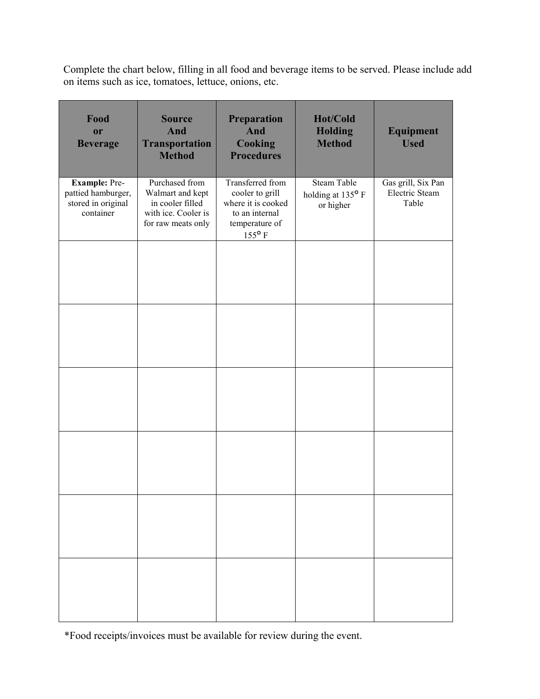Complete the chart below, filling in all food and beverage items to be served. Please include add on items such as ice, tomatoes, lettuce, onions, etc.

| Food<br>or<br><b>Beverage</b>                                                 | <b>Source</b><br>And<br><b>Transportation</b><br><b>Method</b>                                      | Preparation<br>And<br><b>Cooking</b><br><b>Procedures</b>                                                        | Hot/Cold<br><b>Holding</b><br><b>Method</b>          | Equipment<br><b>Used</b>                      |
|-------------------------------------------------------------------------------|-----------------------------------------------------------------------------------------------------|------------------------------------------------------------------------------------------------------------------|------------------------------------------------------|-----------------------------------------------|
| <b>Example: Pre-</b><br>pattied hamburger,<br>stored in original<br>container | Purchased from<br>Walmart and kept<br>in cooler filled<br>with ice. Cooler is<br>for raw meats only | Transferred from<br>cooler to grill<br>where it is cooked<br>to an internal<br>temperature of<br>$155^{\circ}$ F | <b>Steam Table</b><br>holding at 135° F<br>or higher | Gas grill, Six Pan<br>Electric Steam<br>Table |
|                                                                               |                                                                                                     |                                                                                                                  |                                                      |                                               |
|                                                                               |                                                                                                     |                                                                                                                  |                                                      |                                               |
|                                                                               |                                                                                                     |                                                                                                                  |                                                      |                                               |
|                                                                               |                                                                                                     |                                                                                                                  |                                                      |                                               |
|                                                                               |                                                                                                     |                                                                                                                  |                                                      |                                               |
|                                                                               |                                                                                                     |                                                                                                                  |                                                      |                                               |

\*Food receipts/invoices must be available for review during the event.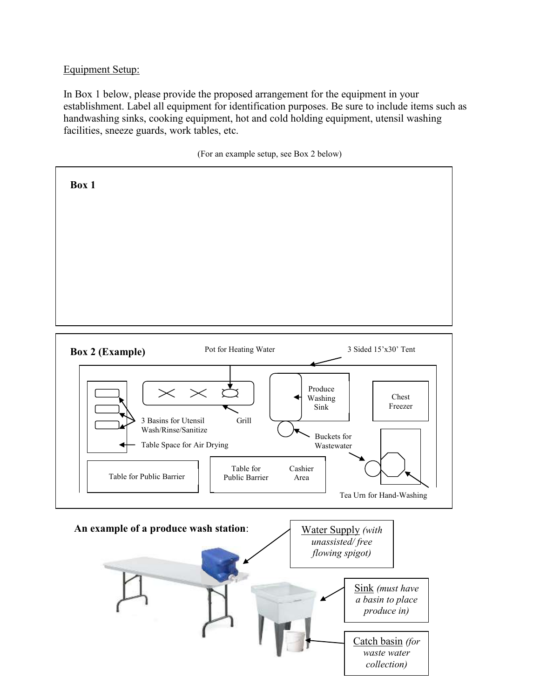## Equipment Setup:

In Box 1 below, please provide the proposed arrangement for the equipment in your establishment. Label all equipment for identification purposes. Be sure to include items such as handwashing sinks, cooking equipment, hot and cold holding equipment, utensil washing facilities, sneeze guards, work tables, etc.